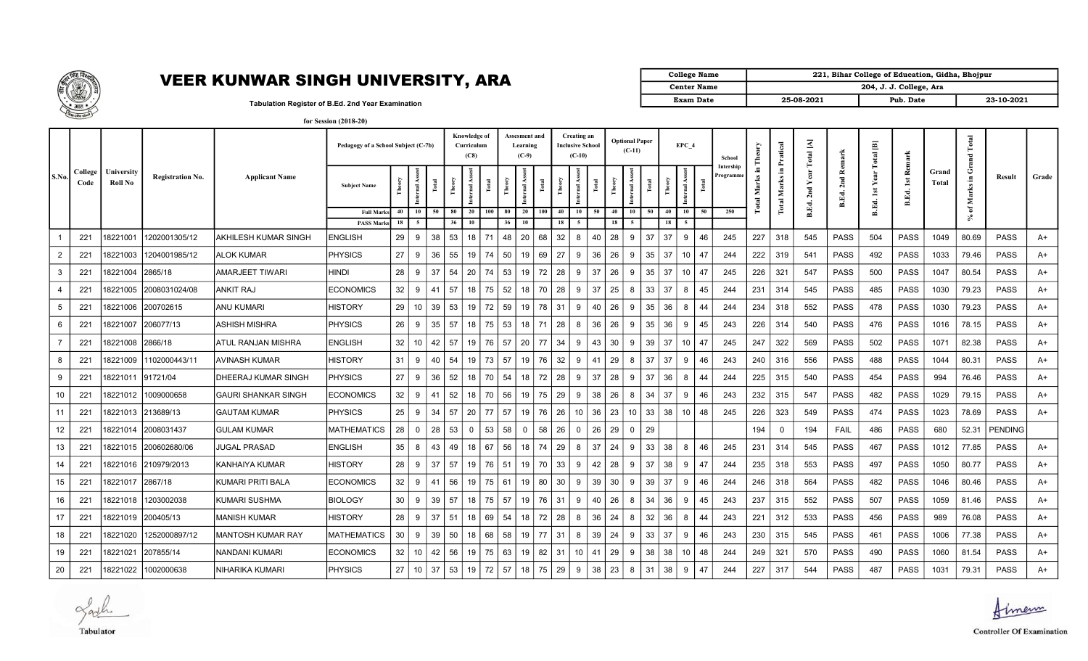

## **VEER KUNWAR SINGH UNIVERSITY, ARA**  $\left[\frac{1}{\sqrt{2}}\right]$

| College Name | 221, Bihar College of Education, Gidha, Bhojpur |                         |            |
|--------------|-------------------------------------------------|-------------------------|------------|
| Center Name  |                                                 | 204, J. J. College, Ara |            |
| Exam Date    | 25-08-2021                                      | Pub. Date               | 23-10-2021 |

Tabulation Register of B.Ed. 2nd Year Examination for Session (2018-20)

|                |                 |                       |                         |                            | Pedagogy of a School Subject (C-7b)    |          |                |       | Knowledge of<br>Curriculum<br>(C8) |                         | <b>Assesment and</b><br>Learning<br>$(C-9)$ |                        |                 | Creating an<br><b>Inclusive School</b><br>$(C-10)$ |              |    | <b>Optional Paper</b><br>$(C-11)$ |                      |       | EPC 4    |                       | School | Theory                | ratical<br>ᅕ              | $\overline{\mathbb{A}}$<br>otal |       | 画<br>otal               | Remark                     |              | Total<br><sub>and</sub> |                 |             |       |
|----------------|-----------------|-----------------------|-------------------------|----------------------------|----------------------------------------|----------|----------------|-------|------------------------------------|-------------------------|---------------------------------------------|------------------------|-----------------|----------------------------------------------------|--------------|----|-----------------------------------|----------------------|-------|----------|-----------------------|--------|-----------------------|---------------------------|---------------------------------|-------|-------------------------|----------------------------|--------------|-------------------------|-----------------|-------------|-------|
| S.No.          | College<br>Code | University<br>Roll No | <b>Registration No.</b> | <b>Applicant Name</b>      | <b>Subject Name</b>                    |          | 4s<br>nternal. | Total |                                    | $\overline{\mathbf{a}}$ | Total                                       | Theory<br>$\mathbf{r}$ | <b>Fotal</b>    | Theory                                             | Internal Ass | Ĕ  | Theory                            | rnal Ass             | Total |          | ÅS.<br>nternal.       |        | Intershir<br>rogramm? | - 도<br><b>Total Marks</b> | Е.<br>Marks<br><b>Total</b>     | ā     | <b>B.Ed. 2nd Remark</b> | н<br>ear<br>⊁<br>B.Ed. 1st | 1st<br>B.Ed. | Grand<br>Total          | Ō<br>Æ<br>Marks | Result      | Grade |
|                |                 |                       |                         |                            | <b>Full Marks</b><br><b>PASS Marks</b> | 40<br>18 | 10<br>5        | 50    | 80<br>36                           | 20<br>10                | 100                                         | 80<br>36               | 20<br>100<br>10 | 40<br>18                                           | 10           | 50 |                                   | 40<br>10<br>50<br>18 |       | 40<br>18 | 10 <sup>1</sup><br>50 |        | 250                   |                           |                                 | B.Ed. |                         |                            |              |                         | ัธ              |             |       |
|                | 221             | 18221001              | 1202001305/12           | AKHILESH KUMAR SINGH       | <b>ENGLISH</b>                         | 29       | 9              | 38    | 53                                 | 18                      | 71                                          | 48                     | 20<br>68        | 32                                                 | 8            | 40 | 28                                | 9                    | 37    | 37       | 9                     | 46     | 245                   | 227                       | 318                             | 545   | <b>PASS</b>             | 504                        | <b>PASS</b>  | 1049                    | 80.69           | <b>PASS</b> | A+    |
| $\overline{2}$ | 221             | 18221003              | 1204001985/12           | <b>ALOK KUMAR</b>          | <b>PHYSICS</b>                         | 27       | 9              | 36    | 55                                 | 19                      | 74                                          | 50                     | 69<br>19        | 27                                                 | 9            | 36 | 26                                | 9                    | 35    | 37       | 10                    | 47     | 244                   | 222                       |                                 | 541   | <b>PASS</b>             | 492                        | <b>PASS</b>  | 1033                    | 79.46           | <b>PASS</b> |       |
|                |                 |                       |                         |                            |                                        |          |                |       |                                    |                         |                                             |                        |                 |                                                    |              |    |                                   |                      |       |          |                       |        |                       |                           | 319                             |       |                         |                            |              |                         |                 |             | A+    |
| 3              | 221             | 18221004              | 2865/18                 | AMARJEET TIWARI            | Hindi                                  | 28       | 9              | 37    | 54                                 | 20                      | 74                                          | 53                     | 19              | 28<br>72                                           | 9            | 37 | 26                                | -9                   | 35    | 37       | 10 <sup>°</sup>       | 47     | 245                   | 226                       | 321                             | 547   | <b>PASS</b>             | 500                        | <b>PASS</b>  | 1047                    | 80.54           | <b>PASS</b> | A+    |
| $\overline{4}$ | 221             | 18221005              | 2008031024/08           | <b>ANKIT RAJ</b>           | <b>ECONOMICS</b>                       | 32       | 9              | 41    | 57                                 | 18                      | 75                                          | 52                     | 70<br>18        | 28                                                 | 9            | 37 | 25                                | -8                   | 33    | 37       | 8                     | 45     | 244                   | 231                       | 314                             | 545   | <b>PASS</b>             | 485                        | <b>PASS</b>  | 1030                    | 79.23           | <b>PASS</b> | A+    |
| 5              | 221             | 18221006              | 200702615               | <b>ANU KUMARI</b>          | <b>HISTORY</b>                         | 29       | 10             | 39    | 53                                 | 19                      | 72                                          | 59                     | 78<br>19        | -31                                                | 9            | 40 | 26                                | -9                   | 35    | 36       | 8                     | 44     | 244                   | 234                       | 318                             | 552   | <b>PASS</b>             | 478                        | <b>PASS</b>  | 1030                    | 79.23           | <b>PASS</b> | A+    |
| 6              | 221             | 18221007              | 206077/13               | <b>ASHISH MISHRA</b>       | <b>PHYSICS</b>                         | 26       | 9              | 35    | 57                                 | 18                      | 75                                          | 53                     | 71<br>18        | 28                                                 | 8            | 36 | 26                                | -9                   | 35    | 36       | 9                     | 45     | 243                   | 226                       | 314                             | 540   | <b>PASS</b>             | 476                        | <b>PASS</b>  | 1016                    | 78.15           | <b>PASS</b> | A+    |
|                | 221             | 18221008              | 2866/18                 | ATUL RANJAN MISHRA         | <b>ENGLISH</b>                         | 32       | 10             | 42    | 57                                 | 19                      | 76                                          | 57                     | 77<br>20        | 34                                                 | 9            | 43 | 30                                | 9                    | 39    | 37       | 10                    | 47     | 245                   | 247                       | 322                             | 569   | PASS                    | 502                        | PASS         | 1071                    | 82.38           | <b>PASS</b> | A+    |
| 8              | 221             | 18221009              | 1102000443/11           | <b>AVINASH KUMAR</b>       | <b>HISTORY</b>                         | 31       | 9              | 40    | 54                                 | 19                      | 73                                          | 57                     | 19<br>76        | 32                                                 | 9            | 41 | 29                                | 8                    | 37    | 37       | 9                     | 46     | 243                   | 240                       | 316                             | 556   | PASS                    | 488                        | <b>PASS</b>  | 1044                    | 80.31           | <b>PASS</b> | A+    |
| 9              | 221             | 18221011              | 91721/04                | DHEERAJ KUMAR SINGH        | <b>PHYSICS</b>                         | 27       | 9              | 36    | 52                                 | 18                      | 70                                          | 54                     | 72<br>18        | 28                                                 | 9            | 37 | 28                                | 9                    | 37    | 36       | 8                     | 44     | 244                   | 225                       | 315                             | 540   | <b>PASS</b>             | 454                        | <b>PASS</b>  | 994                     | 76.46           | <b>PASS</b> | A+    |
| 10             | 221             | 18221012              | 1009000658              | <b>GAURI SHANKAR SINGH</b> | <b>ECONOMICS</b>                       | 32       | 9              | 41    | 52                                 | 18                      | 70                                          | 56                     | 19              | 75<br>29                                           | 9            | 38 | 26                                | 8                    | 34    | 37       | 9                     | 46     | 243                   | 232                       | 315                             | 547   | PASS                    | 482                        | <b>PASS</b>  | 1029                    | 79.15           | <b>PASS</b> | A+    |
| 11             | 221             | 18221013              | 213689/13               | <b>GAUTAM KUMAR</b>        | <b>PHYSICS</b>                         | 25       | 9              | 34    | 57                                 | 20                      | 77                                          | 57                     | 19              | 76<br>26                                           | 10           | 36 | 23                                |                      | 33    | 38       | 10 <sup>°</sup>       | 48     | 245                   | 226                       | 323                             | 549   | <b>PASS</b>             | 474                        | <b>PASS</b>  | 1023                    | 78.69           | <b>PASS</b> | A+    |
| 12             | 221             | 18221014              | 2008031437              | <b>GULAM KUMAR</b>         | <b>MATHEMATICS</b>                     | 28       | 0              | 28    | 53                                 | $\mathbf 0$             | 53                                          | 58                     | 58              | 26                                                 | $\mathbf{0}$ | 26 | 29                                | $\Omega$             | 29    |          |                       |        |                       | 194                       | 0                               | 194   | <b>FAIL</b>             | 486                        | <b>PASS</b>  | 680                     | 52.31           | PENDING     |       |
| 13             | 221             | 18221015              | 200602680/06            | JUGAL PRASAD               | <b>ENGLISH</b>                         | 35       | 8              | 43    | 49                                 | 18                      | 67                                          | 56                     | 74<br>18        | 29                                                 | 8            | 37 | 24                                | 9                    | 33    | 38       | 8                     | 46     | 245                   | 231                       | 314                             | 545   | PASS                    | 467                        | PASS         | 1012                    | 77.85           | <b>PASS</b> | A+    |
| 14             | 221             | 18221016              | 210979/2013             | KANHAIYA KUMAR             | <b>HISTORY</b>                         | 28       | 9              | 37    | 57                                 | 19                      | 76                                          | 51                     | 19              | 33<br>70                                           | 9            | 42 | 28                                | 9                    | 37    | 38       | 9                     | 47     | 244                   | 235                       | 318                             | 553   | <b>PASS</b>             | 497                        | PASS         | 1050                    | 80.77           | <b>PASS</b> | A+    |
| 15             | 221             | 18221017              | 2867/18                 | KUMARI PRITI BALA          | <b>ECONOMICS</b>                       | 32       | -9             | 41    | 56                                 | 19                      | 75                                          | 61                     | 80<br>19        | 30                                                 | 9            | 39 | 30                                | -9                   | 39    | 37       | -9                    | 46     | 244                   | 246                       | 318                             | 564   | <b>PASS</b>             | 482                        | <b>PASS</b>  | 1046                    | 80.46           | <b>PASS</b> | A+    |
| 16             | 221             | 18221018              | 1203002038              | KUMARI SUSHMA              | <b>BIOLOGY</b>                         | 30       | 9              | 39    | 57                                 | 18                      | 75                                          | 57                     | 19              | 76<br>31                                           | 9            | 40 | 26                                | -8                   | 34    | 36       | -9                    | 45     | 243                   | 237                       | 315                             | 552   | <b>PASS</b>             | 507                        | <b>PASS</b>  | 1059                    | 81.46           | <b>PASS</b> | A+    |
| 17             | 221             | 18221019              | 200405/13               | <b>MANISH KUMAR</b>        | <b>HISTORY</b>                         | 28       | 9              | 37    | 51                                 | 18                      | 69                                          | 54                     | 18              | 72<br>28                                           | 8            | 36 | 24                                | -8                   | 32    | 36       | 8                     | 44     | 243                   | 221                       | 312                             | 533   | <b>PASS</b>             | 456                        | <b>PASS</b>  | 989                     | 76.08           | <b>PASS</b> | A+    |
| 18             | 221             | 18221020              | 1252000897/12           | <b>MANTOSH KUMAR RAY</b>   | <b>MATHEMATICS</b>                     | 30       | 9              | 39    | 50                                 | 18                      | 68                                          | 58                     | 77<br>19        | 31                                                 | 8            | 39 | 24                                | -9                   | 33    | 37       | -9                    | 46     | 243                   | 230                       | 315                             | 545   | <b>PASS</b>             | 461                        | <b>PASS</b>  | 1006                    | 77.38           | <b>PASS</b> | A+    |
| 19             | 221             | 18221021              | 207855/14               | NANDANI KUMARI             | <b>ECONOMICS</b>                       | 32       | 10             | 42    | 56                                 | 19                      | 75                                          | 63                     | 82<br>19        | 31                                                 | 10           | 41 | 29                                | -9                   | 38    | 38       | 10                    | 48     | 244                   | 249                       | 321                             | 570   | <b>PASS</b>             | 490                        | <b>PASS</b>  | 1060                    | 81.54           | <b>PASS</b> | A+    |
| 20             | 221             | 18221022              | 1002000638              | NIHARIKA KUMARI            | PHYSICS                                | 27       | 10             | 37    | 53                                 | 19                      | 72                                          | 57                     | 18              | 75<br>29                                           | 9            | 38 | 23                                | 8                    | 31    | 38       | 9                     | 47     | 244                   | 227                       | 317                             | 544   | <b>PASS</b>             | 487                        | <b>PASS</b>  | 1031                    | 79.31           | <b>PASS</b> | A+    |

Lath Tabulator



**Controller Of Examination**